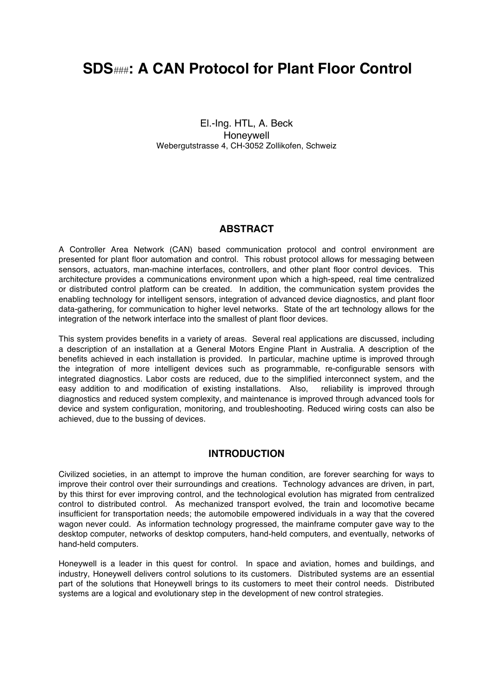# **SDS**###**: A CAN Protocol for Plant Floor Control**

El.-Ing. HTL, A. Beck Honeywell Webergutstrasse 4, CH-3052 Zollikofen, Schweiz

## **ABSTRACT**

A Controller Area Network (CAN) based communication protocol and control environment are presented for plant floor automation and control. This robust protocol allows for messaging between sensors, actuators, man-machine interfaces, controllers, and other plant floor control devices. This architecture provides a communications environment upon which a high-speed, real time centralized or distributed control platform can be created. In addition, the communication system provides the enabling technology for intelligent sensors, integration of advanced device diagnostics, and plant floor data-gathering, for communication to higher level networks. State of the art technology allows for the integration of the network interface into the smallest of plant floor devices.

This system provides benefits in a variety of areas. Several real applications are discussed, including a description of an installation at a General Motors Engine Plant in Australia. A description of the benefits achieved in each installation is provided. In particular, machine uptime is improved through the integration of more intelligent devices such as programmable, re-configurable sensors with integrated diagnostics. Labor costs are reduced, due to the simplified interconnect system, and the easy addition to and modification of existing installations. Also, reliability is improved through diagnostics and reduced system complexity, and maintenance is improved through advanced tools for device and system configuration, monitoring, and troubleshooting. Reduced wiring costs can also be achieved, due to the bussing of devices.

## **INTRODUCTION**

Civilized societies, in an attempt to improve the human condition, are forever searching for ways to improve their control over their surroundings and creations. Technology advances are driven, in part, by this thirst for ever improving control, and the technological evolution has migrated from centralized control to distributed control. As mechanized transport evolved, the train and locomotive became insufficient for transportation needs; the automobile empowered individuals in a way that the covered wagon never could. As information technology progressed, the mainframe computer gave way to the desktop computer, networks of desktop computers, hand-held computers, and eventually, networks of hand-held computers.

Honeywell is a leader in this quest for control. In space and aviation, homes and buildings, and industry, Honeywell delivers control solutions to its customers. Distributed systems are an essential part of the solutions that Honeywell brings to its customers to meet their control needs. Distributed systems are a logical and evolutionary step in the development of new control strategies.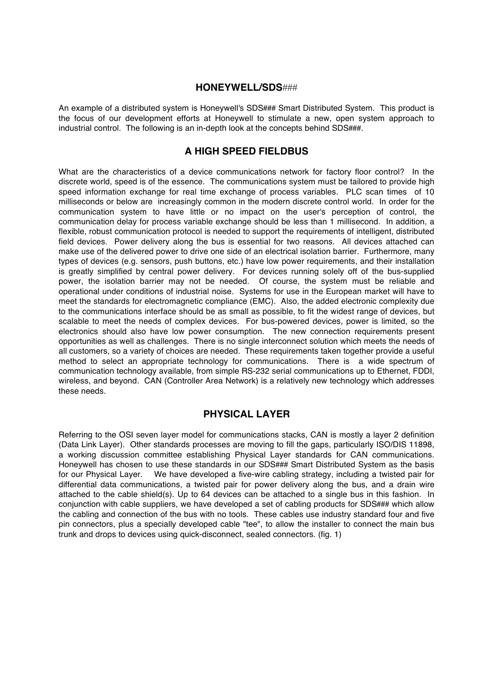#### **HONEYWELL/SDS**###

An example of a distributed system is Honeywell's SDS**###** Smart Distributed System. This product is the focus of our development efforts at Honeywell to stimulate a new, open system approach to industrial control. The following is an in-depth look at the concepts behind SDS**###**.

## **A HIGH SPEED FIELDBUS**

What are the characteristics of a device communications network for factory floor control? In the discrete world, speed is of the essence. The communications system must be tailored to provide high speed information exchange for real time exchange of process variables. PLC scan times of 10 milliseconds or below are increasingly common in the modern discrete control world. In order for the communication system to have little or no impact on the user's perception of control, the communication delay for process variable exchange should be less than 1 millisecond. In addition, a flexible, robust communication protocol is needed to support the requirements of intelligent, distributed field devices. Power delivery along the bus is essential for two reasons. All devices attached can make use of the delivered power to drive one side of an electrical isolation barrier. Furthermore, many types of devices (e.g. sensors, push buttons, etc.) have low power requirements, and their installation is greatly simplified by central power delivery. For devices running solely off of the bus-supplied power, the isolation barrier may not be needed. Of course, the system must be reliable and operational under conditions of industrial noise. Systems for use in the European market will have to meet the standards for electromagnetic compliance (EMC). Also, the added electronic complexity due to the communications interface should be as small as possible, to fit the widest range of devices, but scalable to meet the needs of complex devices. For bus-powered devices, power is limited, so the electronics should also have low power consumption. The new connection requirements present opportunities as well as challenges. There is no single interconnect solution which meets the needs of all customers, so a variety of choices are needed. These requirements taken together provide a useful method to select an appropriate technology for communications. There is a wide spectrum of communication technology available, from simple RS-232 serial communications up to Ethernet, FDDI, wireless, and beyond. CAN (Controller Area Network) is a relatively new technology which addresses these needs.

## **PHYSICAL LAYER**

Referring to the OSI seven layer model for communications stacks, CAN is mostly a layer 2 definition (Data Link Layer). Other standards processes are moving to fill the gaps, particularly ISO/DIS 11898, a working discussion committee establishing Physical Layer standards for CAN communications. Honeywell has chosen to use these standards in our SDS**###** Smart Distributed System as the basis for our Physical Layer. We have developed a five-wire cabling strategy, including a twisted pair for differential data communications, a twisted pair for power delivery along the bus, and a drain wire attached to the cable shield(s). Up to 64 devices can be attached to a single bus in this fashion. In conjunction with cable suppliers, we have developed a set of cabling products for SDS**###** which allow the cabling and connection of the bus with no tools. These cables use industry standard four and five pin connectors, plus a specially developed cable "tee", to allow the installer to connect the main bus trunk and drops to devices using quick-disconnect, sealed connectors. (fig. 1)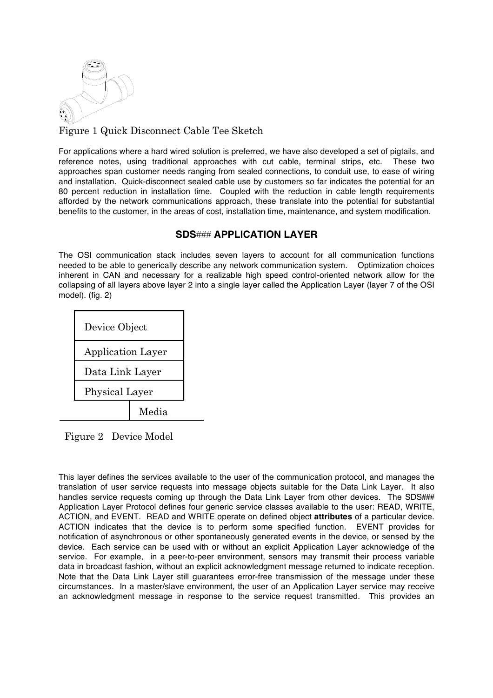

Figure 1 Quick Disconnect Cable Tee Sketch

For applications where a hard wired solution is preferred, we have also developed a set of pigtails, and reference notes, using traditional approaches with cut cable, terminal strips, etc. These two approaches span customer needs ranging from sealed connections, to conduit use, to ease of wiring and installation. Quick-disconnect sealed cable use by customers so far indicates the potential for an 80 percent reduction in installation time. Coupled with the reduction in cable length requirements afforded by the network communications approach, these translate into the potential for substantial benefits to the customer, in the areas of cost, installation time, maintenance, and system modification.

# **SDS**### **APPLICATION LAYER**

The OSI communication stack includes seven layers to account for all communication functions needed to be able to generically describe any network communication system. Optimization choices inherent in CAN and necessary for a realizable high speed control-oriented network allow for the collapsing of all layers above layer 2 into a single layer called the Application Layer (layer 7 of the OSI model). (fig. 2)



Figure 2 Device Model

This layer defines the services available to the user of the communication protocol, and manages the translation of user service requests into message objects suitable for the Data Link Layer. It also handles service requests coming up through the Data Link Layer from other devices. The SDS### Application Layer Protocol defines four generic service classes available to the user: READ, WRITE, ACTION, and EVENT. READ and WRITE operate on defined object **attributes** of a particular device. ACTION indicates that the device is to perform some specified function. EVENT provides for notification of asynchronous or other spontaneously generated events in the device, or sensed by the device. Each service can be used with or without an explicit Application Layer acknowledge of the service. For example, in a peer-to-peer environment, sensors may transmit their process variable data in broadcast fashion, without an explicit acknowledgment message returned to indicate reception. Note that the Data Link Layer still guarantees error-free transmission of the message under these circumstances. In a master/slave environment, the user of an Application Layer service may receive an acknowledgment message in response to the service request transmitted. This provides an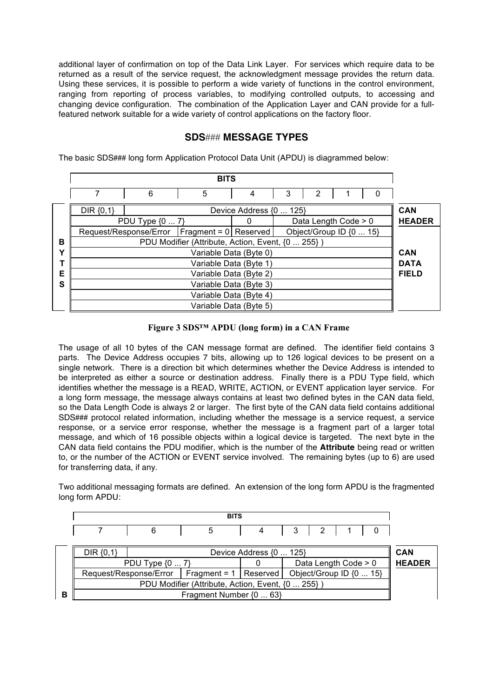additional layer of confirmation on top of the Data Link Layer. For services which require data to be returned as a result of the service request, the acknowledgment message provides the return data. Using these services, it is possible to perform a wide variety of functions in the control environment, ranging from reporting of process variables, to modifying controlled outputs, to accessing and changing device configuration. The combination of the Application Layer and CAN provide for a fullfeatured network suitable for a wide variety of control applications on the factory floor.

## **SDS**### **MESSAGE TYPES**

The basic SDS**###** long form Application Protocol Data Unit (APDU) is diagrammed below:

|   | <b>BITS</b>                                                                 |   |   |                        |   |   |  |              |               |
|---|-----------------------------------------------------------------------------|---|---|------------------------|---|---|--|--------------|---------------|
|   |                                                                             | 6 | 5 | 4                      | 3 | 2 |  | $\Omega$     |               |
|   | $DIR {0, 1}$<br>Device Address {0  125}                                     |   |   |                        |   |   |  |              | <b>CAN</b>    |
|   | PDU Type {0  7}<br>Data Length Code > 0                                     |   |   |                        |   |   |  |              | <b>HEADER</b> |
|   | Request/Response/Error   Fragment = 0   Reserved<br>Object/Group ID {0  15} |   |   |                        |   |   |  |              |               |
| в | PDU Modifier (Attribute, Action, Event, {0  255})                           |   |   |                        |   |   |  |              |               |
| ν | Variable Data (Byte 0)                                                      |   |   |                        |   |   |  | <b>CAN</b>   |               |
|   | Variable Data (Byte 1)                                                      |   |   |                        |   |   |  | <b>DATA</b>  |               |
| Е | Variable Data (Byte 2)                                                      |   |   |                        |   |   |  | <b>FIELD</b> |               |
| S | Variable Data (Byte 3)                                                      |   |   |                        |   |   |  |              |               |
|   | Variable Data (Byte 4)                                                      |   |   |                        |   |   |  |              |               |
|   |                                                                             |   |   | Variable Data (Byte 5) |   |   |  |              |               |

#### **Figure 3 SDS™ APDU (long form) in a CAN Frame**

The usage of all 10 bytes of the CAN message format are defined. The identifier field contains 3 parts. The Device Address occupies 7 bits, allowing up to 126 logical devices to be present on a single network. There is a direction bit which determines whether the Device Address is intended to be interpreted as either a source or destination address. Finally there is a PDU Type field, which identifies whether the message is a READ, WRITE, ACTION, or EVENT application layer service. For a long form message, the message always contains at least two defined bytes in the CAN data field, so the Data Length Code is always 2 or larger. The first byte of the CAN data field contains additional SDS**###** protocol related information, including whether the message is a service request, a service response, or a service error response, whether the message is a fragment part of a larger total message, and which of 16 possible objects within a logical device is targeted. The next byte in the CAN data field contains the PDU modifier, which is the number of the **Attribute** being read or written to, or the number of the ACTION or EVENT service involved. The remaining bytes (up to 6) are used for transferring data, if any.

Two additional messaging formats are defined. An extension of the long form APDU is the fragmented long form APDU:

| ---- |  |  |              |   |        |  |  |
|------|--|--|--------------|---|--------|--|--|
|      |  |  | $\mathbf{A}$ | ື | -<br>_ |  |  |

|   | $DIR {0, 1}$<br>Device Address {0  125} |                        |                                                   |                      |                                                     |  |  |  |
|---|-----------------------------------------|------------------------|---------------------------------------------------|----------------------|-----------------------------------------------------|--|--|--|
|   | PDU Type $\{07\}$                       |                        |                                                   | Data Length Code > 0 | <b>HEADER</b>                                       |  |  |  |
|   |                                         | Request/Response/Error |                                                   |                      | Fragment = $1$   Reserved   Object/Group ID {0  15} |  |  |  |
|   |                                         |                        | PDU Modifier (Attribute, Action, Event, {0  255}) |                      |                                                     |  |  |  |
| B |                                         |                        | Fragment Number {0  63}                           |                      |                                                     |  |  |  |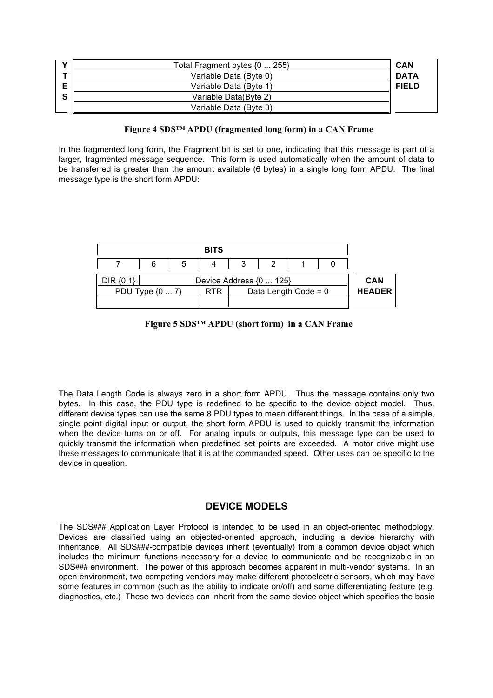|   | Total Fragment bytes $\{0 \dots 255\}$ | CAN          |
|---|----------------------------------------|--------------|
|   | Variable Data (Byte 0)                 | <b>DATA</b>  |
|   | Variable Data (Byte 1)                 | <b>FIELD</b> |
| e | Variable Data(Byte 2)                  |              |
|   | Variable Data (Byte 3)                 |              |

#### **Figure 4 SDS™ APDU (fragmented long form) in a CAN Frame**

In the fragmented long form, the Fragment bit is set to one, indicating that this message is part of a larger, fragmented message sequence. This form is used automatically when the amount of data to be transferred is greater than the amount available (6 bytes) in a single long form APDU. The final message type is the short form APDU:

|               |                                      |                      |                |  | <b>BITS</b> |   |                 |  |
|---------------|--------------------------------------|----------------------|----------------|--|-------------|---|-----------------|--|
|               |                                      |                      | $\overline{2}$ |  | -4          | 5 | 6               |  |
| <b>CAN</b>    | DIR (0,1)<br>Device Address {0  125} |                      |                |  |             |   |                 |  |
| <b>HEADER</b> |                                      | Data Length Code = 0 |                |  | <b>RTR</b>  |   | PDU Type {0  7} |  |
|               |                                      |                      |                |  |             |   |                 |  |

 **Figure 5 SDS™ APDU (short form) in a CAN Frame**

The Data Length Code is always zero in a short form APDU. Thus the message contains only two bytes. In this case, the PDU type is redefined to be specific to the device object model. Thus, different device types can use the same 8 PDU types to mean different things. In the case of a simple, single point digital input or output, the short form APDU is used to quickly transmit the information when the device turns on or off. For analog inputs or outputs, this message type can be used to quickly transmit the information when predefined set points are exceeded. A motor drive might use these messages to communicate that it is at the commanded speed. Other uses can be specific to the device in question.

## **DEVICE MODELS**

The SDS**###** Application Layer Protocol is intended to be used in an object-oriented methodology. Devices are classified using an objected-oriented approach, including a device hierarchy with inheritance. All SDS**###**-compatible devices inherit (eventually) from a common device object which includes the minimum functions necessary for a device to communicate and be recognizable in an SDS**###** environment. The power of this approach becomes apparent in multi-vendor systems. In an open environment, two competing vendors may make different photoelectric sensors, which may have some features in common (such as the ability to indicate on/off) and some differentiating feature (e.g. diagnostics, etc.) These two devices can inherit from the same device object which specifies the basic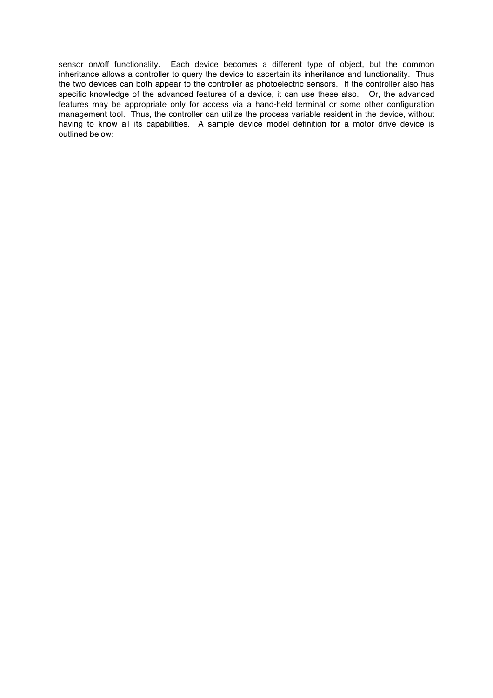sensor on/off functionality. Each device becomes a different type of object, but the common inheritance allows a controller to query the device to ascertain its inheritance and functionality. Thus the two devices can both appear to the controller as photoelectric sensors. If the controller also has specific knowledge of the advanced features of a device, it can use these also. Or, the advanced features may be appropriate only for access via a hand-held terminal or some other configuration management tool. Thus, the controller can utilize the process variable resident in the device, without having to know all its capabilities. A sample device model definition for a motor drive device is outlined below: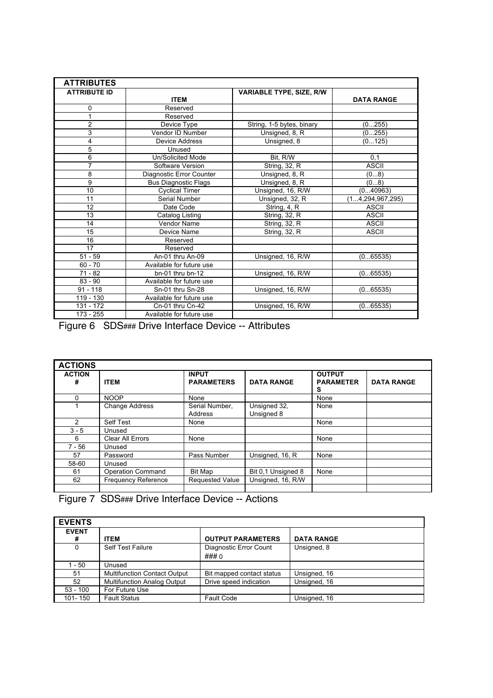| <b>ATTRIBUTES</b>   |                          |                                 |                     |
|---------------------|--------------------------|---------------------------------|---------------------|
| <b>ATTRIBUTE ID</b> |                          | <b>VARIABLE TYPE, SIZE, R/W</b> |                     |
|                     | <b>ITEM</b>              |                                 | <b>DATA RANGE</b>   |
| 0                   | Reserved                 |                                 |                     |
|                     | Reserved                 |                                 |                     |
| 2                   | Device Type              | String, 1-5 bytes, binary       | (0255)              |
| 3                   | Vendor ID Number         | Unsigned, 8, R                  | (0255)              |
| 4                   | Device Address           | Unsigned, 8                     | (0125)              |
| 5                   | Unused                   |                                 |                     |
| 6                   | Un/Solicited Mode        | Bit, R/W                        | 0,1                 |
| 7                   | Software Version         | <b>String, 32, R</b>            | <b>ASCII</b>        |
| 8                   | Diagnostic Error Counter | Unsigned, 8, R                  | (08)                |
| 9                   | Bus Diagnostic Flags     | Unsigned, 8, R                  | (08)                |
| 10                  | <b>Cyclical Timer</b>    | Unsigned, 16, R/W               | (040963)            |
| 11                  | Serial Number            | Unsigned, 32, R                 | (14, 294, 967, 295) |
| 12                  | Date Code                | String, 4, R                    | <b>ASCII</b>        |
| 13                  | Catalog Listing          | String, 32, R                   | <b>ASCII</b>        |
| 14                  | Vendor Name              | String, 32, R                   | <b>ASCII</b>        |
| 15                  | Device Name              | <b>String, 32, R</b>            | <b>ASCII</b>        |
| 16                  | Reserved                 |                                 |                     |
| 17                  | Reserved                 |                                 |                     |
| $51 - 59$           | An-01 thru An-09         | Unsigned, 16, R/W               | (065535)            |
| $60 - 70$           | Available for future use |                                 |                     |
| $71 - 82$           | $bn-01$ thru $bn-12$     | Unsigned, 16, R/W               | (065535)            |
| $83 - 90$           | Available for future use |                                 |                     |
| $91 - 118$          | Sn-01 thru Sn-28         | Unsigned, 16, R/W               | (065535)            |
| $119 - 130$         | Available for future use |                                 |                     |
| 131 - 172           | Cn-01 thru Cn-42         | Unsigned, 16, R/W               | (065535)            |
| 173 - 255           | Available for future use |                                 |                     |

Figure 6 SDS**###** Drive Interface Device -- Attributes

| <b>ACTIONS</b>     |                            |                                   |                            |                                        |                   |
|--------------------|----------------------------|-----------------------------------|----------------------------|----------------------------------------|-------------------|
| <b>ACTION</b><br># | <b>ITEM</b>                | <b>INPUT</b><br><b>PARAMETERS</b> | <b>DATA RANGE</b>          | <b>OUTPUT</b><br><b>PARAMETER</b><br>s | <b>DATA RANGE</b> |
| 0                  | <b>NOOP</b>                | None                              |                            | None                                   |                   |
|                    | <b>Change Address</b>      | Serial Number,<br>Address         | Unsigned 32,<br>Unsigned 8 | None                                   |                   |
| 2                  | Self Test                  | None                              |                            | None                                   |                   |
| $3 - 5$            | Unused                     |                                   |                            |                                        |                   |
| 6                  | Clear All Errors           | None                              |                            | None                                   |                   |
| $7 - 56$           | Unused                     |                                   |                            |                                        |                   |
| 57                 | Password                   | Pass Number                       | Unsigned, 16, R            | None                                   |                   |
| 58-60              | Unused                     |                                   |                            |                                        |                   |
| 61                 | Operation Command          | Bit Map                           | Bit 0.1 Unsigned 8         | None                                   |                   |
| 62                 | <b>Frequency Reference</b> | <b>Requested Value</b>            | Unsigned, 16, R/W          |                                        |                   |
|                    |                            |                                   |                            |                                        |                   |

Figure 7 SDS**###** Drive Interface Device -- Actions

| <b>EVENTS</b> |                                     |                           |                   |
|---------------|-------------------------------------|---------------------------|-------------------|
| <b>EVENT</b>  |                                     |                           |                   |
| #             | <b>ITEM</b>                         | <b>OUTPUT PARAMETERS</b>  | <b>DATA RANGE</b> |
| 0             | <b>Self Test Failure</b>            | Diagnostic Error Count    | Unsigned, 8       |
|               |                                     | ### 0                     |                   |
| l - 50        | Unused                              |                           |                   |
| 51            | <b>Multifunction Contact Output</b> | Bit mapped contact status | Unsigned, 16      |
| 52            | <b>Multifunction Analog Output</b>  | Drive speed indication    | Unsigned, 16      |
| $53 - 100$    | For Future Use                      |                           |                   |
| 101-150       | <b>Fault Status</b>                 | <b>Fault Code</b>         | Unsigned, 16      |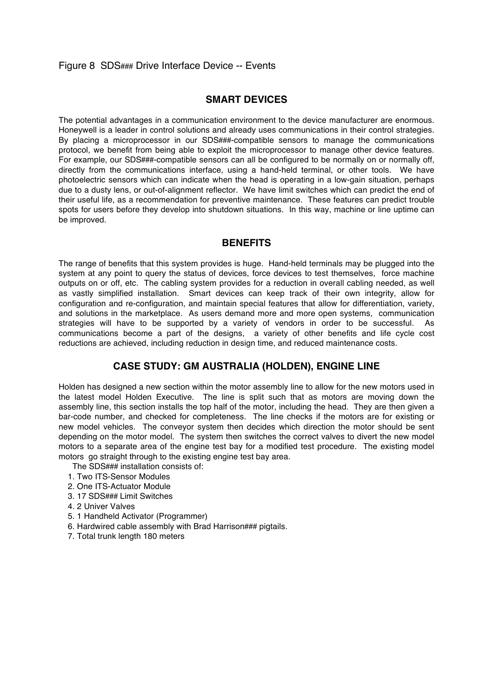## Figure 8 SDS**###** Drive Interface Device -- Events

#### **SMART DEVICES**

The potential advantages in a communication environment to the device manufacturer are enormous. Honeywell is a leader in control solutions and already uses communications in their control strategies. By placing a microprocessor in our SDS**###**-compatible sensors to manage the communications protocol, we benefit from being able to exploit the microprocessor to manage other device features. For example, our SDS**###**-compatible sensors can all be configured to be normally on or normally off, directly from the communications interface, using a hand-held terminal, or other tools. We have photoelectric sensors which can indicate when the head is operating in a low-gain situation, perhaps due to a dusty lens, or out-of-alignment reflector. We have limit switches which can predict the end of their useful life, as a recommendation for preventive maintenance. These features can predict trouble spots for users before they develop into shutdown situations. In this way, machine or line uptime can be improved.

#### **BENEFITS**

The range of benefits that this system provides is huge. Hand-held terminals may be plugged into the system at any point to query the status of devices, force devices to test themselves, force machine outputs on or off, etc. The cabling system provides for a reduction in overall cabling needed, as well as vastly simplified installation. Smart devices can keep track of their own integrity, allow for configuration and re-configuration, and maintain special features that allow for differentiation, variety, and solutions in the marketplace. As users demand more and more open systems, communication strategies will have to be supported by a variety of vendors in order to be successful. As communications become a part of the designs, a variety of other benefits and life cycle cost reductions are achieved, including reduction in design time, and reduced maintenance costs.

## **CASE STUDY: GM AUSTRALIA (HOLDEN), ENGINE LINE**

Holden has designed a new section within the motor assembly line to allow for the new motors used in the latest model Holden Executive. The line is split such that as motors are moving down the assembly line, this section installs the top half of the motor, including the head. They are then given a bar-code number, and checked for completeness. The line checks if the motors are for existing or new model vehicles. The conveyor system then decides which direction the motor should be sent depending on the motor model. The system then switches the correct valves to divert the new model motors to a separate area of the engine test bay for a modified test procedure. The existing model motors go straight through to the existing engine test bay area.

The SDS**###** installation consists of:

- 1. Two ITS-Sensor Modules
- 2. One ITS-Actuator Module
- 3. 17 SDS**###** Limit Switches
- 4. 2 Univer Valves
- 5. 1 Handheld Activator (Programmer)
- 6. Hardwired cable assembly with Brad Harrison**###** pigtails.
- 7. Total trunk length 180 meters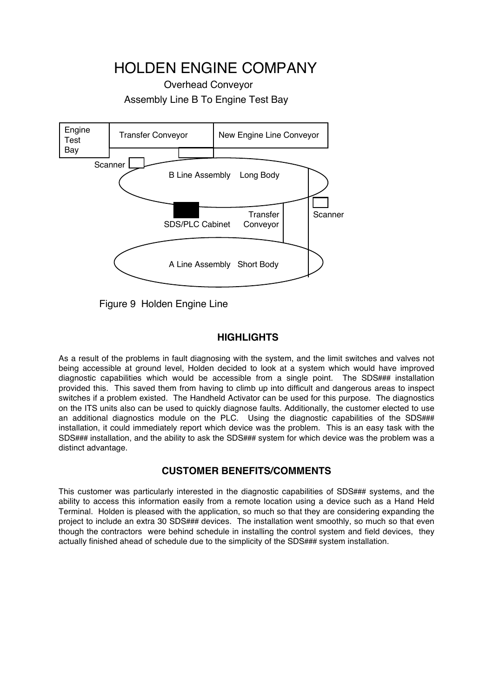HOLDEN ENGINE COMPANY

Overhead Conveyor Assembly Line B To Engine Test Bay



Figure 9 Holden Engine Line

# **HIGHLIGHTS**

As a result of the problems in fault diagnosing with the system, and the limit switches and valves not being accessible at ground level, Holden decided to look at a system which would have improved diagnostic capabilities which would be accessible from a single point. The SDS**###** installation provided this. This saved them from having to climb up into difficult and dangerous areas to inspect switches if a problem existed. The Handheld Activator can be used for this purpose. The diagnostics on the ITS units also can be used to quickly diagnose faults. Additionally, the customer elected to use an additional diagnostics module on the PLC. Using the diagnostic capabilities of the SDS**###** installation, it could immediately report which device was the problem. This is an easy task with the SDS**###** installation, and the ability to ask the SDS**###** system for which device was the problem was a distinct advantage.

## **CUSTOMER BENEFITS/COMMENTS**

This customer was particularly interested in the diagnostic capabilities of SDS**###** systems, and the ability to access this information easily from a remote location using a device such as a Hand Held Terminal. Holden is pleased with the application, so much so that they are considering expanding the project to include an extra 30 SDS### devices. The installation went smoothly, so much so that even though the contractors were behind schedule in installing the control system and field devices, they actually finished ahead of schedule due to the simplicity of the SDS**###** system installation.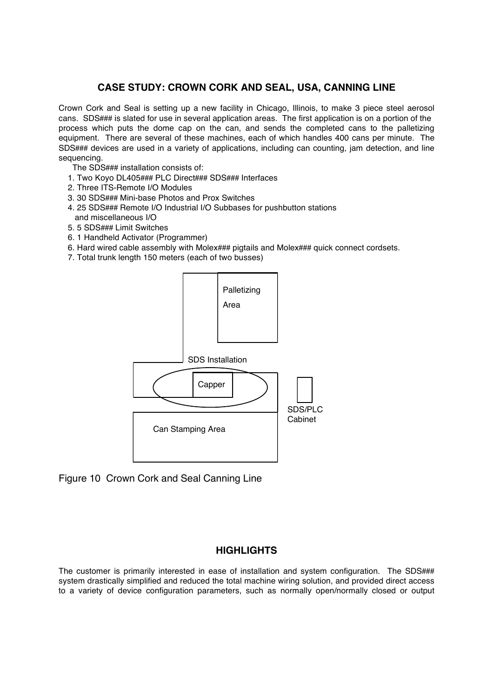# **CASE STUDY: CROWN CORK AND SEAL, USA, CANNING LINE**

Crown Cork and Seal is setting up a new facility in Chicago, Illinois, to make 3 piece steel aerosol cans. SDS**###** is slated for use in several application areas. The first application is on a portion of the process which puts the dome cap on the can, and sends the completed cans to the palletizing equipment. There are several of these machines, each of which handles 400 cans per minute. The SDS**###** devices are used in a variety of applications, including can counting, jam detection, and line sequencing.

- The SDS**###** installation consists of:
- 1. Two Koyo DL405**###** PLC Direct**###** SDS**###** Interfaces
- 2. Three ITS-Remote I/O Modules
- 3. 30 SDS**###** Mini-base Photos and Prox Switches
- 4. 25 SDS**###** Remote I/O Industrial I/O Subbases for pushbutton stations and miscellaneous I/O
- 5. 5 SDS**###** Limit Switches
- 6. 1 Handheld Activator (Programmer)
- 6. Hard wired cable assembly with Molex**###** pigtails and Molex**###** quick connect cordsets.
- 7. Total trunk length 150 meters (each of two busses)



Figure 10 Crown Cork and Seal Canning Line

## **HIGHLIGHTS**

The customer is primarily interested in ease of installation and system configuration. The SDS**###** system drastically simplified and reduced the total machine wiring solution, and provided direct access to a variety of device configuration parameters, such as normally open/normally closed or output